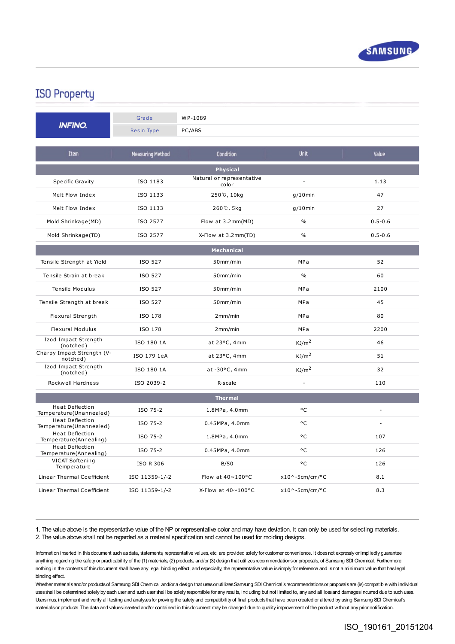

## **ISO Property**

| <b>INFINO.</b>                                   | Grade             | WP-1089                            |                          |             |
|--------------------------------------------------|-------------------|------------------------------------|--------------------------|-------------|
|                                                  | <b>Resin Type</b> | PC/ABS                             |                          |             |
| <b>Item</b>                                      | Measuring Method  | <b>Condition</b>                   | <b>Unit</b>              | Value       |
| <b>Physical</b>                                  |                   |                                    |                          |             |
| Specific Gravity                                 | ISO 1183          | Natural or representative<br>color | $\overline{a}$           | 1.13        |
| Melt Flow Index                                  | ISO 1133          | 250℃, 10kg                         | $g/10$ min               | 47          |
| Melt Flow Index                                  | ISO 1133          | 260℃, 5kg                          | $g/10$ min               | 27          |
| Mold Shrinkage(MD)                               | ISO 2577          | Flow at 3.2mm(MD)                  | $\%$                     | $0.5 - 0.6$ |
| Mold Shrinkage(TD)                               | ISO 2577          | X-Flow at 3.2mm(TD)                | $\%$                     | $0.5 - 0.6$ |
| <b>Mechanical</b>                                |                   |                                    |                          |             |
| Tensile Strength at Yield                        | ISO 527           | 50mm/min                           | MPa                      | 52          |
| Tensile Strain at break                          | ISO 527           | 50mm/min                           | $\%$                     | 60          |
| Tensile Modulus                                  | ISO 527           | 50mm/min                           | MPa                      | 2100        |
| Tensile Strength at break                        | ISO 527           | 50mm/min                           | <b>MPa</b>               | 45          |
| Flexural Strength                                | ISO 178           | 2mm/min                            | MPa                      | 80          |
| <b>Flexural Modulus</b>                          | ISO 178           | 2mm/min                            | MPa                      | 2200        |
| Izod Impact Strength<br>(notched)                | ISO 180 1A        | at 23°C, 4mm                       | KJ/m <sup>2</sup>        | 46          |
| Charpy Impact Strength (V-<br>notched)           | ISO 179 1eA       | at 23°C, 4mm                       | KJ/m <sup>2</sup>        | 51          |
| Izod Impact Strength<br>(notched)                | ISO 180 1A        | at -30°C, 4mm                      | KJ/m <sup>2</sup>        | 32          |
| Rockwell Hardness                                | ISO 2039-2        | R-scale                            | $\overline{a}$           | 110         |
| <b>Thermal</b>                                   |                   |                                    |                          |             |
| Heat Deflection<br>Temperature(Unannealed)       | ISO 75-2          | 1.8MPa, 4.0mm                      | °C                       |             |
| Heat Deflection<br>Temperature(Unannealed)       | ISO 75-2          | 0.45MPa, 4.0mm                     | °C                       |             |
| <b>Heat Deflection</b><br>Temperature(Annealing) | ISO 75-2          | 1.8MPa, 4.0mm                      | °C                       | 107         |
| Heat Deflection<br>Temperature(Annealing)        | ISO 75-2          | 0.45MPa, 4.0mm                     | °C                       | 126         |
| VICAT Softening<br>Temperature                   | <b>ISO R 306</b>  | B/50                               | °C                       | 126         |
| Linear Thermal Coefficient                       | ISO 11359-1/-2    | Flow at 40~100°C                   | $x10^{\circ}$ -5cm/cm/°C | 8.1         |
| Linear Thermal Coefficient                       | ISO 11359-1/-2    | X-Flow at 40~100°C                 | $x10^{\circ}$ -5cm/cm/°C | 8.3         |

1. The value above is the representative value of the NP or representative color and may have deviation. It can only be used for selecting materials. 2. The value above shall not be regarded as a material specification and cannot be used for molding designs.

Information inserted in thisdocument such asdata, statements, representative values, etc. are provided solely for customer convenience. It doesnot expressly or impliedly guarantee anything regarding the safety or practicability of the (1) materials, (2) products, and/or (3) design that utilizes recommendations or proposals, of Samsung SDI Chemical. Furthermore, nothing in the contentsof thisdocument shall have any legal binding effect, and especially, the representative value issimply for reference and isnot a minimum value that haslegal binding effect.

Whether materials and/or products of Samsung SDI Chemical and/or a design that uses or utilizes Samsung SDI Chemical's recommendations or proposals are (is) compatible with individual uses shall be determined solely by each user and such user shall be solely responsible for any results, including but not limited to, any and all loss and damages incurred due to such uses. Usersmust implement and verify all testing and analysesfor proving the safety and compatibility of final productsthat have been created or altered by using Samsung SDI Chemical's materials or products. The data and values inserted and/or contained in this document may be changed due to quality improvement of the product without any prior notification.